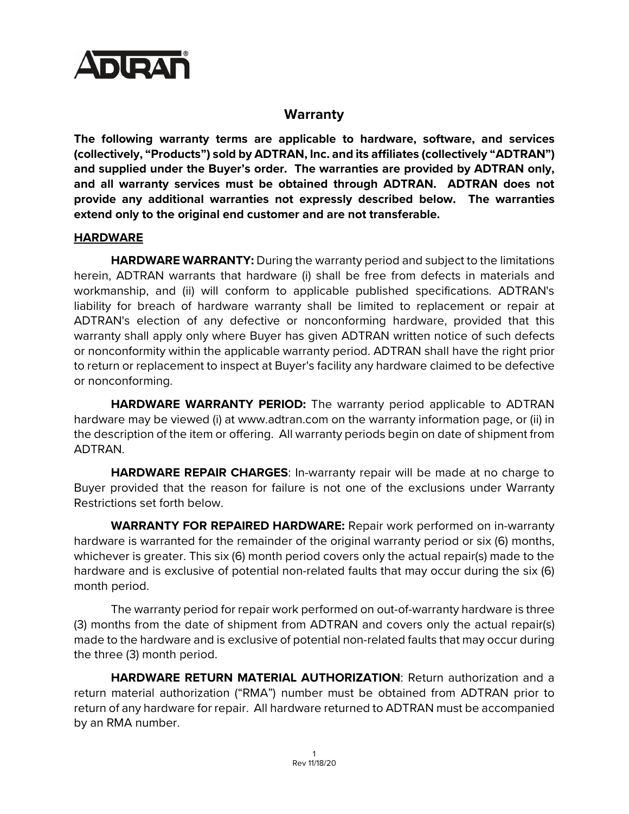

# **Warranty**

**The following warranty terms are applicable to hardware, software, and services (collectively, "Products") sold by ADTRAN, Inc. and its affiliates (collectively "ADTRAN") and supplied under the Buyer's order. The warranties are provided by ADTRAN only, and all warranty services must be obtained through ADTRAN. ADTRAN does not provide any additional warranties not expressly described below. The warranties extend only to the original end customer and are not transferable.**

## **HARDWARE**

**HARDWARE WARRANTY:** During the warranty period and subject to the limitations herein, ADTRAN warrants that hardware (i) shall be free from defects in materials and workmanship, and (ii) will conform to applicable published specifications. ADTRAN's liability for breach of hardware warranty shall be limited to replacement or repair at ADTRAN's election of any defective or nonconforming hardware, provided that this warranty shall apply only where Buyer has given ADTRAN written notice of such defects or nonconformity within the applicable warranty period. ADTRAN shall have the right prior to return or replacement to inspect at Buyer's facility any hardware claimed to be defective or nonconforming.

**HARDWARE WARRANTY PERIOD:** The warranty period applicable to ADTRAN hardware may be viewed (i) at www.adtran.com on the warranty information page, or (ii) in the description of the item or offering. All warranty periods begin on date of shipment from ADTRAN.

**HARDWARE REPAIR CHARGES**: In-warranty repair will be made at no charge to Buyer provided that the reason for failure is not one of the exclusions under Warranty Restrictions set forth below.

**WARRANTY FOR REPAIRED HARDWARE:** Repair work performed on in-warranty hardware is warranted for the remainder of the original warranty period or six (6) months, whichever is greater. This six (6) month period covers only the actual repair(s) made to the hardware and is exclusive of potential non-related faults that may occur during the six (6) month period.

The warranty period for repair work performed on out-of-warranty hardware is three (3) months from the date of shipment from ADTRAN and covers only the actual repair(s) made to the hardware and is exclusive of potential non-related faults that may occur during the three (3) month period.

**HARDWARE RETURN MATERIAL AUTHORIZATION**: Return authorization and a return material authorization ("RMA") number must be obtained from ADTRAN prior to return of any hardware for repair. All hardware returned to ADTRAN must be accompanied by an RMA number.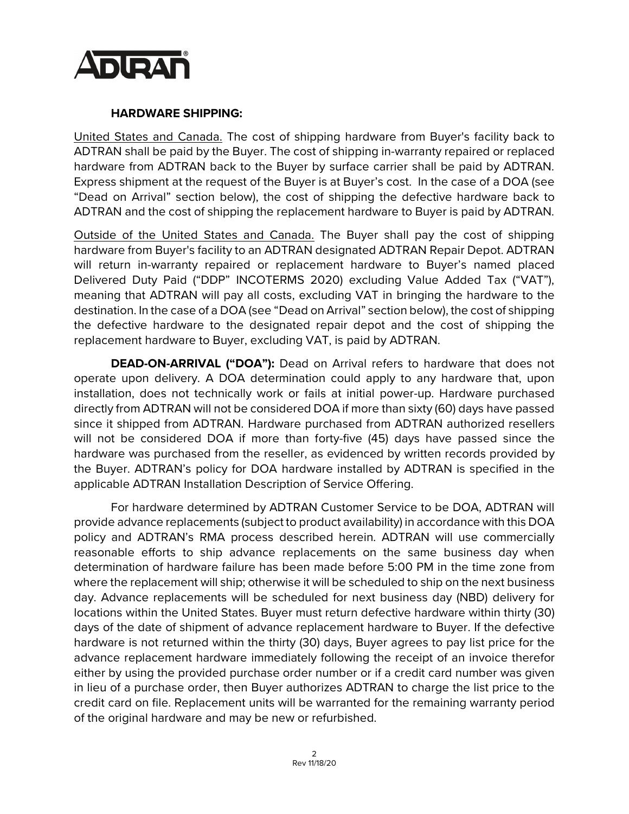

# **HARDWARE SHIPPING:**

United States and Canada. The cost of shipping hardware from Buyer's facility back to ADTRAN shall be paid by the Buyer. The cost of shipping in-warranty repaired or replaced hardware from ADTRAN back to the Buyer by surface carrier shall be paid by ADTRAN. Express shipment at the request of the Buyer is at Buyer's cost. In the case of a DOA (see "Dead on Arrival" section below), the cost of shipping the defective hardware back to ADTRAN and the cost of shipping the replacement hardware to Buyer is paid by ADTRAN.

Outside of the United States and Canada. The Buyer shall pay the cost of shipping hardware from Buyer's facility to an ADTRAN designated ADTRAN Repair Depot. ADTRAN will return in-warranty repaired or replacement hardware to Buyer's named placed Delivered Duty Paid ("DDP" INCOTERMS 2020) excluding Value Added Tax ("VAT"), meaning that ADTRAN will pay all costs, excluding VAT in bringing the hardware to the destination. In the case of a DOA (see "Dead on Arrival" section below), the cost of shipping the defective hardware to the designated repair depot and the cost of shipping the replacement hardware to Buyer, excluding VAT, is paid by ADTRAN.

**DEAD-ON-ARRIVAL ("DOA"):** Dead on Arrival refers to hardware that does not operate upon delivery. A DOA determination could apply to any hardware that, upon installation, does not technically work or fails at initial power-up. Hardware purchased directly from ADTRAN will not be considered DOA if more than sixty (60) days have passed since it shipped from ADTRAN. Hardware purchased from ADTRAN authorized resellers will not be considered DOA if more than forty-five (45) days have passed since the hardware was purchased from the reseller, as evidenced by written records provided by the Buyer. ADTRAN's policy for DOA hardware installed by ADTRAN is specified in the applicable ADTRAN Installation Description of Service Offering.

For hardware determined by ADTRAN Customer Service to be DOA, ADTRAN will provide advance replacements (subject to product availability) in accordance with this DOA policy and ADTRAN's RMA process described herein. ADTRAN will use commercially reasonable efforts to ship advance replacements on the same business day when determination of hardware failure has been made before 5:00 PM in the time zone from where the replacement will ship; otherwise it will be scheduled to ship on the next business day. Advance replacements will be scheduled for next business day (NBD) delivery for locations within the United States. Buyer must return defective hardware within thirty (30) days of the date of shipment of advance replacement hardware to Buyer. If the defective hardware is not returned within the thirty (30) days, Buyer agrees to pay list price for the advance replacement hardware immediately following the receipt of an invoice therefor either by using the provided purchase order number or if a credit card number was given in lieu of a purchase order, then Buyer authorizes ADTRAN to charge the list price to the credit card on file. Replacement units will be warranted for the remaining warranty period of the original hardware and may be new or refurbished.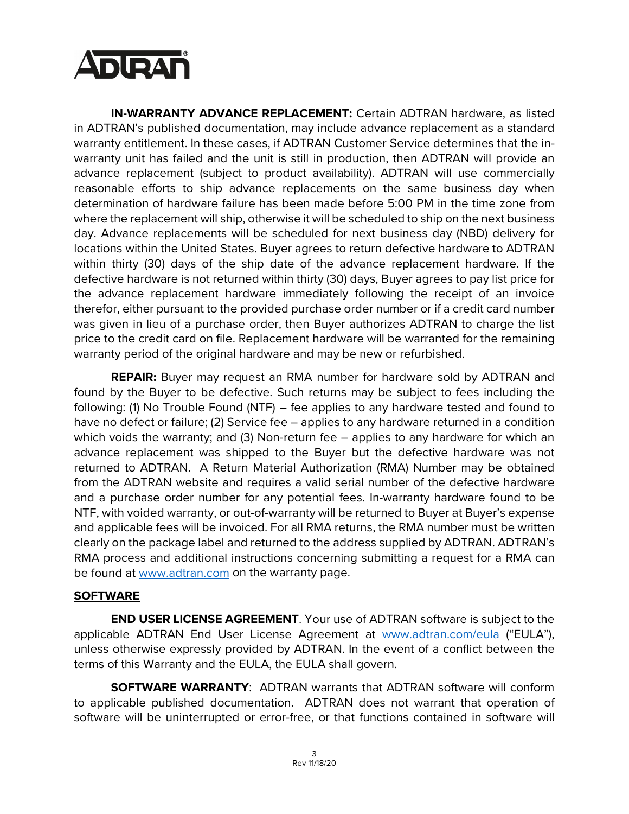

**IN-WARRANTY ADVANCE REPLACEMENT:** Certain ADTRAN hardware, as listed in ADTRAN's published documentation, may include advance replacement as a standard warranty entitlement. In these cases, if ADTRAN Customer Service determines that the inwarranty unit has failed and the unit is still in production, then ADTRAN will provide an advance replacement (subject to product availability). ADTRAN will use commercially reasonable efforts to ship advance replacements on the same business day when determination of hardware failure has been made before 5:00 PM in the time zone from where the replacement will ship, otherwise it will be scheduled to ship on the next business day. Advance replacements will be scheduled for next business day (NBD) delivery for locations within the United States. Buyer agrees to return defective hardware to ADTRAN within thirty (30) days of the ship date of the advance replacement hardware. If the defective hardware is not returned within thirty (30) days, Buyer agrees to pay list price for the advance replacement hardware immediately following the receipt of an invoice therefor, either pursuant to the provided purchase order number or if a credit card number was given in lieu of a purchase order, then Buyer authorizes ADTRAN to charge the list price to the credit card on file. Replacement hardware will be warranted for the remaining warranty period of the original hardware and may be new or refurbished.

**REPAIR:** Buyer may request an RMA number for hardware sold by ADTRAN and found by the Buyer to be defective. Such returns may be subject to fees including the following: (1) No Trouble Found (NTF) – fee applies to any hardware tested and found to have no defect or failure; (2) Service fee – applies to any hardware returned in a condition which voids the warranty; and (3) Non-return fee – applies to any hardware for which an advance replacement was shipped to the Buyer but the defective hardware was not returned to ADTRAN. A Return Material Authorization (RMA) Number may be obtained from the ADTRAN website and requires a valid serial number of the defective hardware and a purchase order number for any potential fees. In-warranty hardware found to be NTF, with voided warranty, or out-of-warranty will be returned to Buyer at Buyer's expense and applicable fees will be invoiced. For all RMA returns, the RMA number must be written clearly on the package label and returned to the address supplied by ADTRAN. ADTRAN's RMA process and additional instructions concerning submitting a request for a RMA can be found at [www.adtran.com](http://www.adtran.com/) on the warranty page.

#### **SOFTWARE**

**END USER LICENSE AGREEMENT**. Your use of ADTRAN software is subject to the applicable ADTRAN End User License Agreement at [www.adtran.com/eula](http://www.adtran.com/eula) ("EULA"), unless otherwise expressly provided by ADTRAN. In the event of a conflict between the terms of this Warranty and the EULA, the EULA shall govern.

**SOFTWARE WARRANTY**: ADTRAN warrants that ADTRAN software will conform to applicable published documentation. ADTRAN does not warrant that operation of software will be uninterrupted or error-free, or that functions contained in software will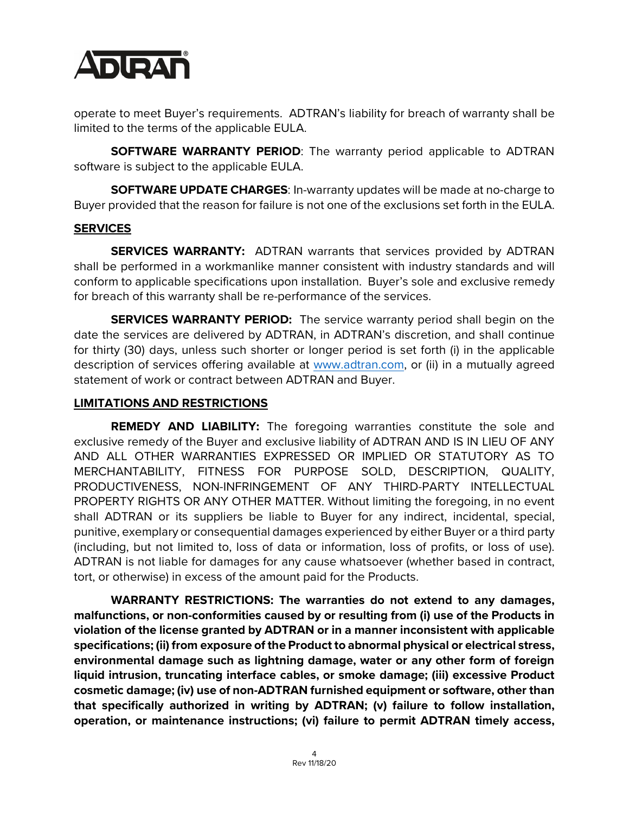

operate to meet Buyer's requirements. ADTRAN's liability for breach of warranty shall be limited to the terms of the applicable EULA.

**SOFTWARE WARRANTY PERIOD:** The warranty period applicable to ADTRAN software is subject to the applicable EULA.

**SOFTWARE UPDATE CHARGES**: In-warranty updates will be made at no-charge to Buyer provided that the reason for failure is not one of the exclusions set forth in the EULA.

## **SERVICES**

**SERVICES WARRANTY:** ADTRAN warrants that services provided by ADTRAN shall be performed in a workmanlike manner consistent with industry standards and will conform to applicable specifications upon installation. Buyer's sole and exclusive remedy for breach of this warranty shall be re-performance of the services.

**SERVICES WARRANTY PERIOD:** The service warranty period shall begin on the date the services are delivered by ADTRAN, in ADTRAN's discretion, and shall continue for thirty (30) days, unless such shorter or longer period is set forth (i) in the applicable description of services offering available at [www.adtran.com,](http://www.adtran.com/) or (ii) in a mutually agreed statement of work or contract between ADTRAN and Buyer.

# **LIMITATIONS AND RESTRICTIONS**

**REMEDY AND LIABILITY:** The foregoing warranties constitute the sole and exclusive remedy of the Buyer and exclusive liability of ADTRAN AND IS IN LIEU OF ANY AND ALL OTHER WARRANTIES EXPRESSED OR IMPLIED OR STATUTORY AS TO MERCHANTABILITY, FITNESS FOR PURPOSE SOLD, DESCRIPTION, QUALITY, PRODUCTIVENESS, NON-INFRINGEMENT OF ANY THIRD-PARTY INTELLECTUAL PROPERTY RIGHTS OR ANY OTHER MATTER. Without limiting the foregoing, in no event shall ADTRAN or its suppliers be liable to Buyer for any indirect, incidental, special, punitive, exemplary or consequential damages experienced by either Buyer or a third party (including, but not limited to, loss of data or information, loss of profits, or loss of use). ADTRAN is not liable for damages for any cause whatsoever (whether based in contract, tort, or otherwise) in excess of the amount paid for the Products.

**WARRANTY RESTRICTIONS: The warranties do not extend to any damages, malfunctions, or non-conformities caused by or resulting from (i) use of the Products in violation of the license granted by ADTRAN or in a manner inconsistent with applicable specifications; (ii) from exposure of the Product to abnormal physical or electrical stress, environmental damage such as lightning damage, water or any other form of foreign liquid intrusion, truncating interface cables, or smoke damage; (iii) excessive Product cosmetic damage; (iv) use of non-ADTRAN furnished equipment or software, other than that specifically authorized in writing by ADTRAN; (v) failure to follow installation, operation, or maintenance instructions; (vi) failure to permit ADTRAN timely access,**